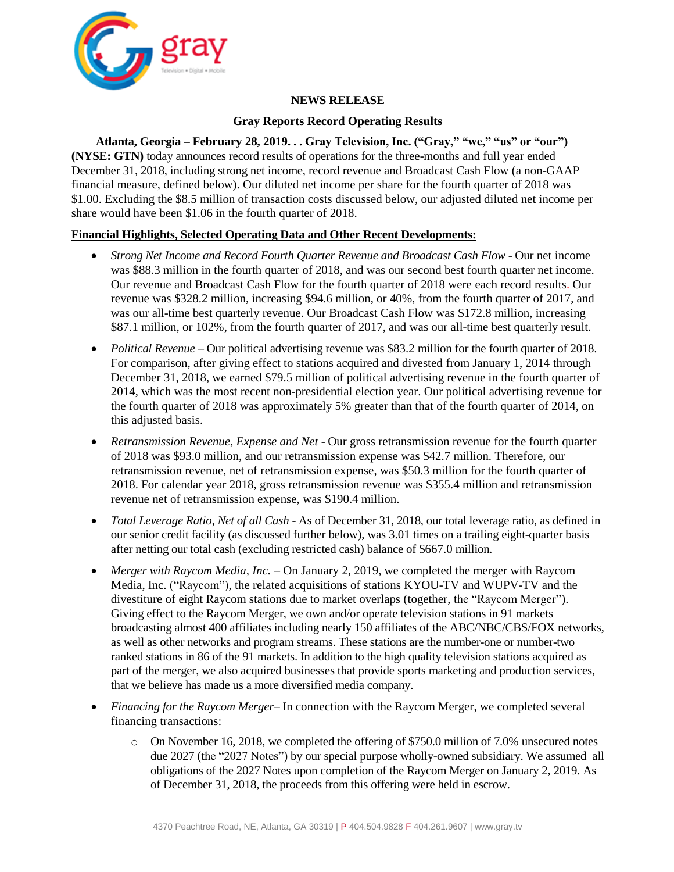

## **NEWS RELEASE**

## **Gray Reports Record Operating Results**

**Atlanta, Georgia – February 28, 2019. . . Gray Television, Inc. ("Gray," "we," "us" or "our") (NYSE: GTN)** today announces record results of operations for the three-months and full year ended December 31, 2018, including strong net income, record revenue and Broadcast Cash Flow (a non-GAAP financial measure, defined below). Our diluted net income per share for the fourth quarter of 2018 was \$1.00. Excluding the \$8.5 million of transaction costs discussed below, our adjusted diluted net income per share would have been \$1.06 in the fourth quarter of 2018.

## **Financial Highlights, Selected Operating Data and Other Recent Developments:**

- *Strong Net Income and Record Fourth Quarter Revenue and Broadcast Cash Flow* Our net income was \$88.3 million in the fourth quarter of 2018, and was our second best fourth quarter net income. Our revenue and Broadcast Cash Flow for the fourth quarter of 2018 were each record results. Our revenue was \$328.2 million, increasing \$94.6 million, or 40%, from the fourth quarter of 2017, and was our all-time best quarterly revenue. Our Broadcast Cash Flow was \$172.8 million, increasing \$87.1 million, or 102%, from the fourth quarter of 2017, and was our all-time best quarterly result.
- *Political Revenue* Our political advertising revenue was \$83.2 million for the fourth quarter of 2018. For comparison, after giving effect to stations acquired and divested from January 1, 2014 through December 31, 2018, we earned \$79.5 million of political advertising revenue in the fourth quarter of 2014, which was the most recent non-presidential election year. Our political advertising revenue for the fourth quarter of 2018 was approximately 5% greater than that of the fourth quarter of 2014, on this adjusted basis.
- *Retransmission Revenue, Expense and Net*  Our gross retransmission revenue for the fourth quarter of 2018 was \$93.0 million, and our retransmission expense was \$42.7 million. Therefore, our retransmission revenue, net of retransmission expense, was \$50.3 million for the fourth quarter of 2018. For calendar year 2018, gross retransmission revenue was \$355.4 million and retransmission revenue net of retransmission expense, was \$190.4 million.
- *Total Leverage Ratio, Net of all Cash* As of December 31, 2018, our total leverage ratio, as defined in our senior credit facility (as discussed further below), was 3.01 times on a trailing eight-quarter basis after netting our total cash (excluding restricted cash) balance of \$667.0 million*.*
- *Merger with Raycom Media, Inc.* On January 2, 2019, we completed the merger with Raycom Media, Inc. ("Raycom"), the related acquisitions of stations KYOU-TV and WUPV-TV and the divestiture of eight Raycom stations due to market overlaps (together, the "Raycom Merger"). Giving effect to the Raycom Merger, we own and/or operate television stations in 91 markets broadcasting almost 400 affiliates including nearly 150 affiliates of the ABC/NBC/CBS/FOX networks, as well as other networks and program streams. These stations are the number-one or number-two ranked stations in 86 of the 91 markets. In addition to the high quality television stations acquired as part of the merger, we also acquired businesses that provide sports marketing and production services, that we believe has made us a more diversified media company.
- *Financing for the Raycom Merger* In connection with the Raycom Merger, we completed several financing transactions:
	- o On November 16, 2018, we completed the offering of \$750.0 million of 7.0% unsecured notes due 2027 (the "2027 Notes") by our special purpose wholly-owned subsidiary. We assumed all obligations of the 2027 Notes upon completion of the Raycom Merger on January 2, 2019. As of December 31, 2018, the proceeds from this offering were held in escrow.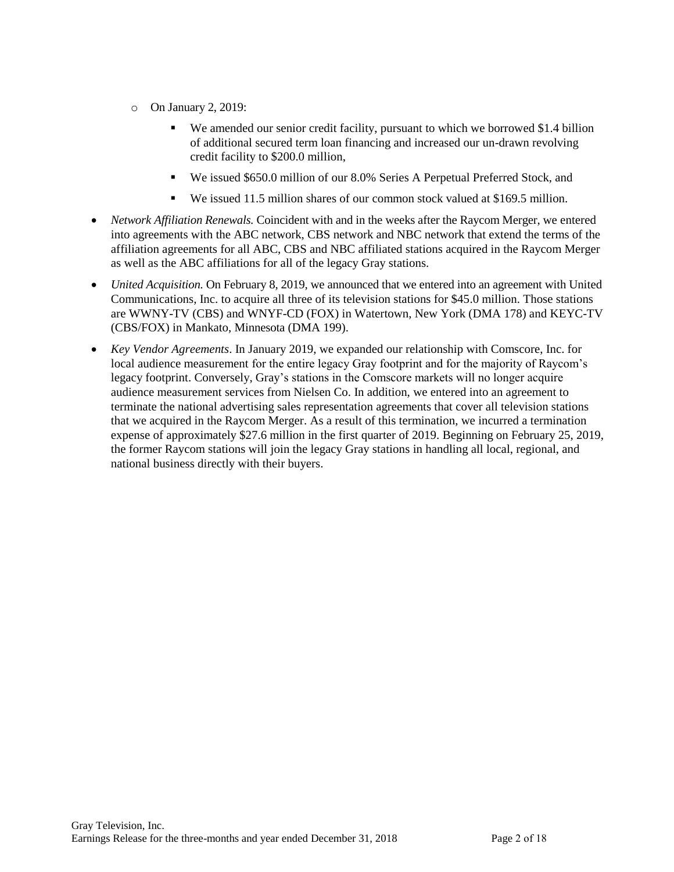- o On January 2, 2019:
	- We amended our senior credit facility, pursuant to which we borrowed \$1.4 billion of additional secured term loan financing and increased our un-drawn revolving credit facility to \$200.0 million,
	- We issued \$650.0 million of our 8.0% Series A Perpetual Preferred Stock, and
	- We issued 11.5 million shares of our common stock valued at \$169.5 million.
- *Network Affiliation Renewals.* Coincident with and in the weeks after the Raycom Merger, we entered into agreements with the ABC network, CBS network and NBC network that extend the terms of the affiliation agreements for all ABC, CBS and NBC affiliated stations acquired in the Raycom Merger as well as the ABC affiliations for all of the legacy Gray stations.
- *United Acquisition.* On February 8, 2019, we announced that we entered into an agreement with United Communications, Inc. to acquire all three of its television stations for \$45.0 million. Those stations are WWNY-TV (CBS) and WNYF-CD (FOX) in Watertown, New York (DMA 178) and KEYC-TV (CBS/FOX) in Mankato, Minnesota (DMA 199).
- *Key Vendor Agreements*. In January 2019, we expanded our relationship with Comscore, Inc. for local audience measurement for the entire legacy Gray footprint and for the majority of Raycom's legacy footprint. Conversely, Gray's stations in the Comscore markets will no longer acquire audience measurement services from Nielsen Co. In addition, we entered into an agreement to terminate the national advertising sales representation agreements that cover all television stations that we acquired in the Raycom Merger. As a result of this termination, we incurred a termination expense of approximately \$27.6 million in the first quarter of 2019. Beginning on February 25, 2019, the former Raycom stations will join the legacy Gray stations in handling all local, regional, and national business directly with their buyers.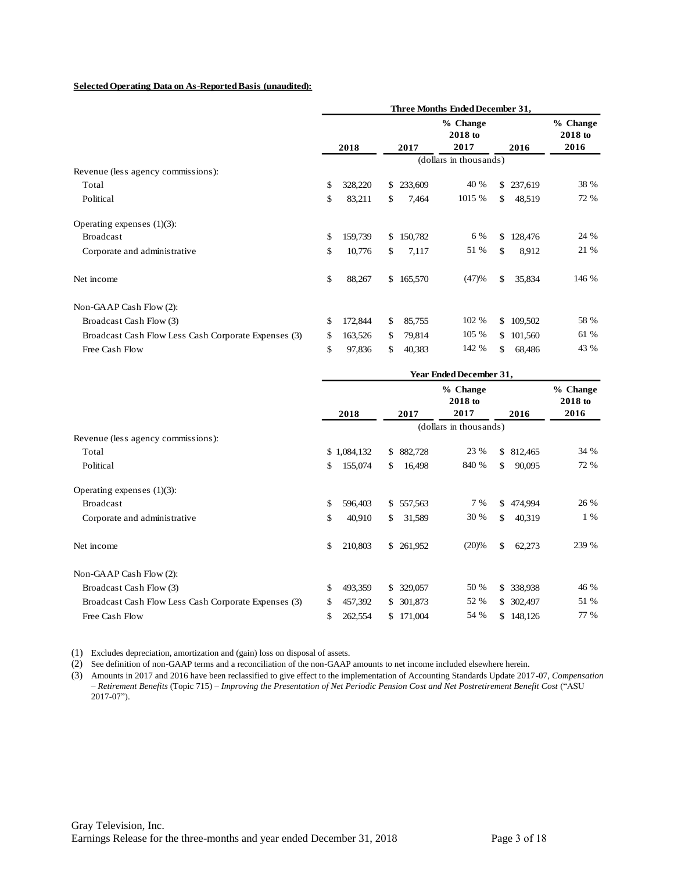#### **Selected Operating Data on As-Reported Basis (unaudited):**

|                                                      | Three Months Ended December 31, |         |     |         |                             |               |           |                             |
|------------------------------------------------------|---------------------------------|---------|-----|---------|-----------------------------|---------------|-----------|-----------------------------|
|                                                      |                                 | 2018    |     | 2017    | % Change<br>2018 to<br>2017 |               | 2016      | % Change<br>2018 to<br>2016 |
|                                                      |                                 |         |     |         | (dollars in thousands)      |               |           |                             |
| Revenue (less agency commissions):                   |                                 |         |     |         |                             |               |           |                             |
| Total                                                | \$                              | 328,220 | \$  | 233,609 | 40 %                        |               | \$237,619 | 38 %                        |
| Political                                            | \$                              | 83,211  | \$. | 7,464   | 1015 %                      | \$            | 48,519    | 72 %                        |
| Operating expenses $(1)(3)$ :                        |                                 |         |     |         |                             |               |           |                             |
| <b>Broadcast</b>                                     | \$                              | 159,739 | \$  | 150,782 | 6 %                         | $\mathcal{S}$ | 128,476   | 24 %                        |
| Corporate and administrative                         | \$                              | 10,776  | \$. | 7,117   | 51 %                        | \$            | 8,912     | 21 %                        |
| Net income                                           | \$                              | 88,267  | \$  | 165,570 | (47)%                       | \$            | 35,834    | 146 %                       |
| Non-GAAP Cash Flow (2):                              |                                 |         |     |         |                             |               |           |                             |
| Broadcast Cash Flow (3)                              | \$                              | 172,844 | \$  | 85,755  | 102 %                       |               | \$109,502 | 58 %                        |
| Broadcast Cash Flow Less Cash Corporate Expenses (3) | \$                              | 163,526 | \$. | 79,814  | 105 %                       |               | \$101,560 | 61 %                        |
| Free Cash Flow                                       | \$                              | 97,836  | \$. | 40,383  | 142 %                       | \$.           | 68,486    | 43 %                        |
|                                                      |                                 |         |     |         |                             |               |           |                             |

|                                                      | Year Ended December 31, |                                  |                         |                     |  |  |  |
|------------------------------------------------------|-------------------------|----------------------------------|-------------------------|---------------------|--|--|--|
|                                                      |                         | % Change<br>2018 to              |                         | % Change<br>2018 to |  |  |  |
|                                                      | 2018                    | 2017<br>2017                     | 2016                    | 2016                |  |  |  |
|                                                      |                         | (dollars in thousands)           |                         |                     |  |  |  |
| Revenue (less agency commissions):                   |                         |                                  |                         |                     |  |  |  |
| Total                                                | \$1,084,132             | 882,728<br>\$                    | 23 %<br>\$ 812,465      | 34 %                |  |  |  |
| Political                                            | \$<br>155,074           | 840 %<br>16,498<br>\$.           | \$<br>90,095            | 72 %                |  |  |  |
| Operating expenses $(1)(3)$ :                        |                         |                                  |                         |                     |  |  |  |
| <b>Broadcast</b>                                     | \$<br>596,403           | 557,563<br>\$                    | 7 %<br>\$<br>474,994    | 26 %                |  |  |  |
| Corporate and administrative                         | \$<br>40,910            | 31,589<br>\$.                    | 30 %<br>40,319<br>\$    | 1 %                 |  |  |  |
| Net income                                           | \$<br>210,803           | (20)%<br>261,952<br>$\mathbb{S}$ | $\mathcal{S}$<br>62,273 | 239 %               |  |  |  |
| Non-GAAP Cash Flow (2):                              |                         |                                  |                         |                     |  |  |  |
| Broadcast Cash Flow (3)                              | \$<br>493,359           | 329,057<br>\$                    | 50 %<br>\$ 338,938      | 46 %                |  |  |  |
| Broadcast Cash Flow Less Cash Corporate Expenses (3) | \$<br>457,392           | 301,873<br>\$                    | 52 %<br>\$ 302,497      | 51 %                |  |  |  |
| Free Cash Flow                                       | \$<br>262,554           | 171,004<br>S.                    | 54 %<br>\$148,126       | 77 %                |  |  |  |

(1) Excludes depreciation, amortization and (gain) loss on disposal of assets.

(2) See definition of non-GAAP terms and a reconciliation of the non-GAAP amounts to net income included elsewhere herein.

(3) Amounts in 2017 and 2016 have been reclassified to give effect to the implementation of Accounting Standards Update 2017-07, *Compensation – Retirement Benefits* (Topic 715) – *Improving the Presentation of Net Periodic Pension Cost and Net Postretirement Benefit Cost* ("ASU 2017-07").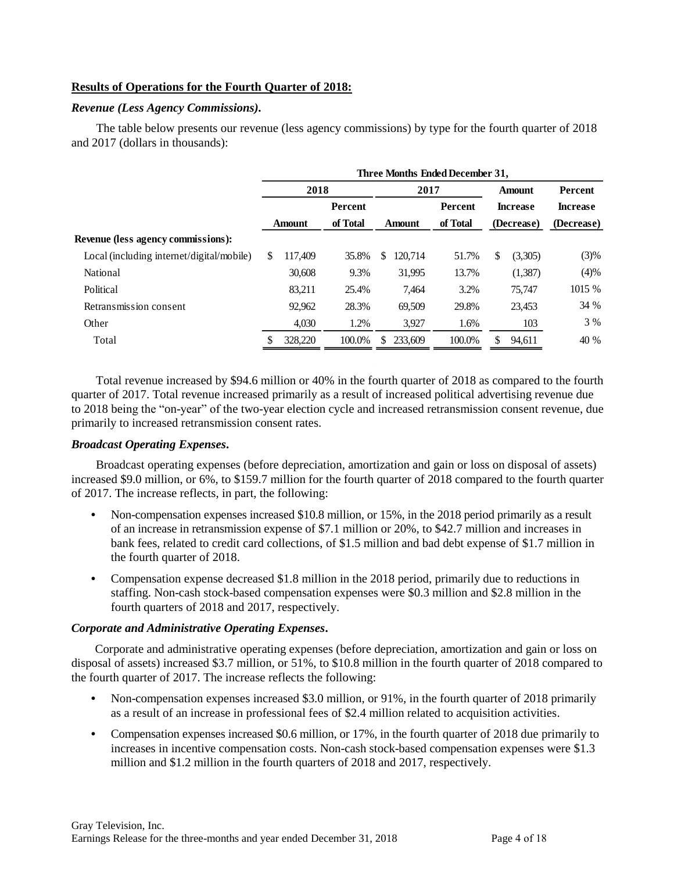### **Results of Operations for the Fourth Quarter of 2018:**

#### *Revenue (Less Agency Commissions).*

The table below presents our revenue (less agency commissions) by type for the fourth quarter of 2018 and 2017 (dollars in thousands):

| Three Months Ended December 31,  |  |  |  |  |  |  |  |  |
|----------------------------------|--|--|--|--|--|--|--|--|
| Percent                          |  |  |  |  |  |  |  |  |
| <b>Increase</b>                  |  |  |  |  |  |  |  |  |
| (Decrease)<br>(Decrease)         |  |  |  |  |  |  |  |  |
|                                  |  |  |  |  |  |  |  |  |
| (3)%<br>(3,305)                  |  |  |  |  |  |  |  |  |
| (4)%<br>(1,387)                  |  |  |  |  |  |  |  |  |
| 1015 %<br>75,747                 |  |  |  |  |  |  |  |  |
| 34 %<br>23,453                   |  |  |  |  |  |  |  |  |
| 3 %<br>103                       |  |  |  |  |  |  |  |  |
| 94,611<br>40 %                   |  |  |  |  |  |  |  |  |
| <b>Amount</b><br><b>Increase</b> |  |  |  |  |  |  |  |  |

Total revenue increased by \$94.6 million or 40% in the fourth quarter of 2018 as compared to the fourth quarter of 2017. Total revenue increased primarily as a result of increased political advertising revenue due to 2018 being the "on-year" of the two-year election cycle and increased retransmission consent revenue, due primarily to increased retransmission consent rates.

### *Broadcast Operating Expenses***.**

Broadcast operating expenses (before depreciation, amortization and gain or loss on disposal of assets) increased \$9.0 million, or 6%, to \$159.7 million for the fourth quarter of 2018 compared to the fourth quarter of 2017. The increase reflects, in part, the following:

- **•** Non-compensation expenses increased \$10.8 million, or 15%, in the 2018 period primarily as a result of an increase in retransmission expense of \$7.1 million or 20%, to \$42.7 million and increases in bank fees, related to credit card collections, of \$1.5 million and bad debt expense of \$1.7 million in the fourth quarter of 2018.
- **•** Compensation expense decreased \$1.8 million in the 2018 period, primarily due to reductions in staffing. Non-cash stock-based compensation expenses were \$0.3 million and \$2.8 million in the fourth quarters of 2018 and 2017, respectively.

### *Corporate and Administrative Operating Expenses***.**

Corporate and administrative operating expenses (before depreciation, amortization and gain or loss on disposal of assets) increased \$3.7 million, or 51%, to \$10.8 million in the fourth quarter of 2018 compared to the fourth quarter of 2017. The increase reflects the following:

- Non-compensation expenses increased \$3.0 million, or 91%, in the fourth quarter of 2018 primarily as a result of an increase in professional fees of \$2.4 million related to acquisition activities.
- Compensation expenses increased \$0.6 million, or 17%, in the fourth quarter of 2018 due primarily to increases in incentive compensation costs. Non-cash stock-based compensation expenses were \$1.3 million and \$1.2 million in the fourth quarters of 2018 and 2017, respectively.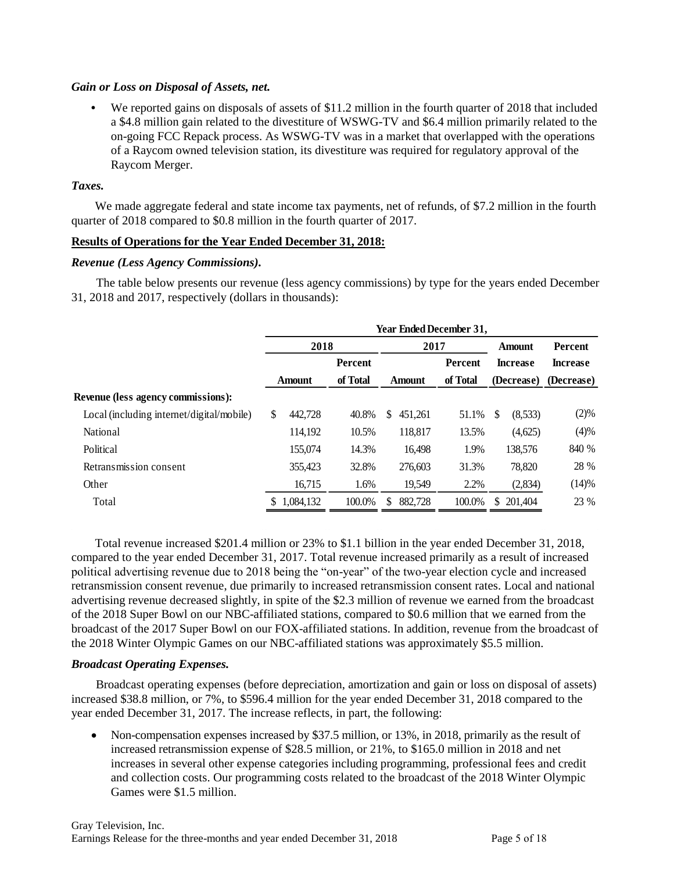### *Gain or Loss on Disposal of Assets, net.*

**•** We reported gains on disposals of assets of \$11.2 million in the fourth quarter of 2018 that included a \$4.8 million gain related to the divestiture of WSWG-TV and \$6.4 million primarily related to the on-going FCC Repack process. As WSWG-TV was in a market that overlapped with the operations of a Raycom owned television station, its divestiture was required for regulatory approval of the Raycom Merger.

### *Taxes.*

We made aggregate federal and state income tax payments, net of refunds, of \$7.2 million in the fourth quarter of 2018 compared to \$0.8 million in the fourth quarter of 2017.

### **Results of Operations for the Year Ended December 31, 2018:**

#### *Revenue (Less Agency Commissions).*

The table below presents our revenue (less agency commissions) by type for the years ended December 31, 2018 and 2017, respectively (dollars in thousands):

|                                           | <b>Year Ended December 31.</b> |              |               |          |                 |                 |  |  |  |
|-------------------------------------------|--------------------------------|--------------|---------------|----------|-----------------|-----------------|--|--|--|
|                                           |                                | 2018<br>2017 |               |          | Amount          | <b>Percent</b>  |  |  |  |
|                                           |                                | Percent      |               | Percent  | <b>Increase</b> | <b>Increase</b> |  |  |  |
|                                           | <b>Amount</b>                  | of Total     | <b>Amount</b> | of Total | (Decrease)      | (Decrease)      |  |  |  |
| <b>Revenue (less agency commissions):</b> |                                |              |               |          |                 |                 |  |  |  |
| Local (including internet/digital/mobile) | \$<br>442,728                  | 40.8%        | 451.261<br>S. | 51.1%    | \$<br>(8,533)   | (2)%            |  |  |  |
| <b>National</b>                           | 114.192                        | 10.5%        | 118,817       | 13.5%    | (4,625)         | (4)%            |  |  |  |
| Political                                 | 155,074                        | 14.3%        | 16,498        | 1.9%     | 138,576         | 840 %           |  |  |  |
| Retransmission consent                    | 355,423                        | 32.8%        | 276,603       | 31.3%    | 78,820          | 28 %            |  |  |  |
| Other                                     | 16,715                         | 1.6%         | 19,549        | 2.2%     | (2,834)         | (14)%           |  |  |  |
| Total                                     | 1.084.132<br>\$                | 100.0%       | 882,728       | 100.0%   | \$<br>201.404   | 23 %            |  |  |  |

Total revenue increased \$201.4 million or 23% to \$1.1 billion in the year ended December 31, 2018, compared to the year ended December 31, 2017. Total revenue increased primarily as a result of increased political advertising revenue due to 2018 being the "on-year" of the two-year election cycle and increased retransmission consent revenue, due primarily to increased retransmission consent rates. Local and national advertising revenue decreased slightly, in spite of the \$2.3 million of revenue we earned from the broadcast of the 2018 Super Bowl on our NBC-affiliated stations, compared to \$0.6 million that we earned from the broadcast of the 2017 Super Bowl on our FOX-affiliated stations. In addition, revenue from the broadcast of the 2018 Winter Olympic Games on our NBC-affiliated stations was approximately \$5.5 million.

### *Broadcast Operating Expenses.*

Broadcast operating expenses (before depreciation, amortization and gain or loss on disposal of assets) increased \$38.8 million, or 7%, to \$596.4 million for the year ended December 31, 2018 compared to the year ended December 31, 2017. The increase reflects, in part, the following:

 Non-compensation expenses increased by \$37.5 million, or 13%, in 2018, primarily as the result of increased retransmission expense of \$28.5 million, or 21%, to \$165.0 million in 2018 and net increases in several other expense categories including programming, professional fees and credit and collection costs. Our programming costs related to the broadcast of the 2018 Winter Olympic Games were \$1.5 million.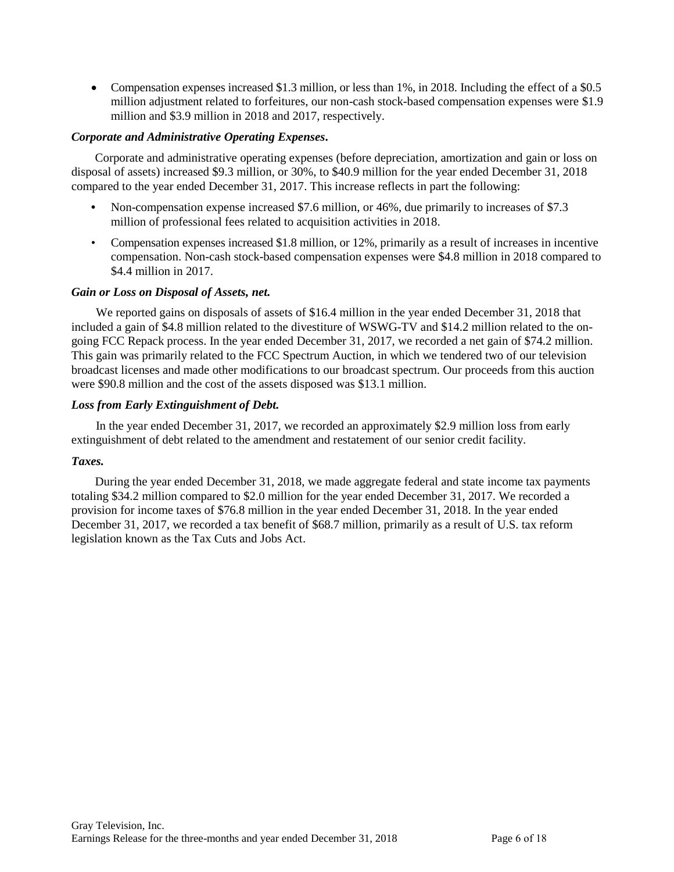Compensation expenses increased \$1.3 million, or less than 1%, in 2018. Including the effect of a \$0.5 million adjustment related to forfeitures, our non-cash stock-based compensation expenses were \$1.9 million and \$3.9 million in 2018 and 2017, respectively.

### *Corporate and Administrative Operating Expenses***.**

Corporate and administrative operating expenses (before depreciation, amortization and gain or loss on disposal of assets) increased \$9.3 million, or 30%, to \$40.9 million for the year ended December 31, 2018 compared to the year ended December 31, 2017. This increase reflects in part the following:

- **•** Non-compensation expense increased \$7.6 million, or 46%, due primarily to increases of \$7.3 million of professional fees related to acquisition activities in 2018.
- Compensation expenses increased \$1.8 million, or 12%, primarily as a result of increases in incentive compensation. Non-cash stock-based compensation expenses were \$4.8 million in 2018 compared to \$4.4 million in 2017.

### *Gain or Loss on Disposal of Assets, net.*

We reported gains on disposals of assets of \$16.4 million in the year ended December 31, 2018 that included a gain of \$4.8 million related to the divestiture of WSWG-TV and \$14.2 million related to the ongoing FCC Repack process. In the year ended December 31, 2017, we recorded a net gain of \$74.2 million. This gain was primarily related to the FCC Spectrum Auction, in which we tendered two of our television broadcast licenses and made other modifications to our broadcast spectrum. Our proceeds from this auction were \$90.8 million and the cost of the assets disposed was \$13.1 million.

### *Loss from Early Extinguishment of Debt.*

In the year ended December 31, 2017, we recorded an approximately \$2.9 million loss from early extinguishment of debt related to the amendment and restatement of our senior credit facility.

### *Taxes.*

During the year ended December 31, 2018, we made aggregate federal and state income tax payments totaling \$34.2 million compared to \$2.0 million for the year ended December 31, 2017. We recorded a provision for income taxes of \$76.8 million in the year ended December 31, 2018. In the year ended December 31, 2017, we recorded a tax benefit of \$68.7 million, primarily as a result of U.S. tax reform legislation known as the Tax Cuts and Jobs Act.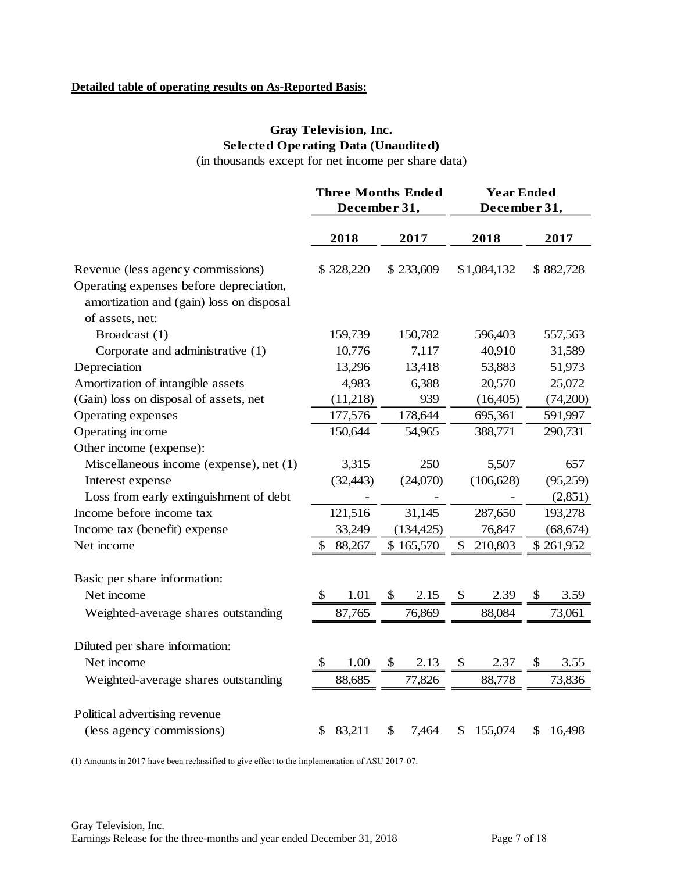# **Detailed table of operating results on As-Reported Basis:**

# **Gray Television, Inc. Selected Operating Data (Unaudited)**

(in thousands except for net income per share data)

|                                                                                     | <b>Three Months Ended</b><br>December 31, |           |                           |            | <b>Year Ended</b><br>December 31, |             |           |           |
|-------------------------------------------------------------------------------------|-------------------------------------------|-----------|---------------------------|------------|-----------------------------------|-------------|-----------|-----------|
|                                                                                     |                                           | 2018      |                           | 2017       |                                   | 2018        |           | 2017      |
| Revenue (less agency commissions)                                                   |                                           | \$328,220 |                           | \$233,609  |                                   | \$1,084,132 |           | \$882,728 |
| Operating expenses before depreciation,<br>amortization and (gain) loss on disposal |                                           |           |                           |            |                                   |             |           |           |
| of assets, net:                                                                     |                                           |           |                           |            |                                   |             |           |           |
| Broadcast (1)                                                                       |                                           | 159,739   |                           | 150,782    |                                   | 596,403     |           | 557,563   |
| Corporate and administrative (1)                                                    |                                           | 10,776    |                           | 7,117      |                                   | 40,910      |           | 31,589    |
| Depreciation                                                                        |                                           | 13,296    |                           | 13,418     |                                   | 53,883      |           | 51,973    |
| Amortization of intangible assets                                                   |                                           | 4,983     |                           | 6,388      |                                   | 20,570      | 25,072    |           |
| (Gain) loss on disposal of assets, net                                              |                                           | (11,218)  |                           | 939        |                                   | (16,405)    |           | (74,200)  |
| Operating expenses                                                                  | 177,576                                   |           | 178,644                   |            | 695,361                           |             | 591,997   |           |
| Operating income                                                                    |                                           | 150,644   |                           | 54,965     |                                   | 388,771     |           | 290,731   |
| Other income (expense):                                                             |                                           |           |                           |            |                                   |             |           |           |
| Miscellaneous income (expense), net (1)                                             |                                           | 3,315     |                           | 250        |                                   | 5,507       |           | 657       |
| Interest expense                                                                    |                                           | (32, 443) | (24,070)                  |            | (106, 628)                        |             | (95,259)  |           |
| Loss from early extinguishment of debt                                              |                                           |           |                           |            |                                   |             |           | (2,851)   |
| Income before income tax                                                            |                                           | 121,516   |                           | 31,145     |                                   | 287,650     |           | 193,278   |
| Income tax (benefit) expense                                                        |                                           | 33,249    |                           | (134, 425) |                                   | 76,847      | (68, 674) |           |
| Net income                                                                          |                                           | 88,267    |                           | \$165,570  | \$<br>210,803                     |             | \$261,952 |           |
| Basic per share information:                                                        |                                           |           |                           |            |                                   |             |           |           |
| Net income                                                                          | \$                                        | 1.01      | S                         | 2.15       | S                                 | 2.39        | \$        | 3.59      |
| Weighted-average shares outstanding                                                 |                                           | 87,765    |                           | 76,869     |                                   | 88,084      |           | 73,061    |
| Diluted per share information:                                                      |                                           |           |                           |            |                                   |             |           |           |
| Net income                                                                          | \$                                        | 1.00      | $\boldsymbol{\mathsf{S}}$ | 2.13       | $\boldsymbol{\mathsf{S}}$         | 2.37        | \$        | 3.55      |
|                                                                                     |                                           |           |                           |            |                                   |             |           |           |
| Weighted-average shares outstanding                                                 |                                           | 88,685    |                           | 77,826     |                                   | 88,778      |           | 73,836    |
| Political advertising revenue                                                       |                                           |           |                           |            |                                   |             |           |           |
| (less agency commissions)                                                           | \$                                        | 83,211    | \$                        | 7,464      | \$                                | 155,074     | \$        | 16,498    |

(1) Amounts in 2017 have been reclassified to give effect to the implementation of ASU 2017-07.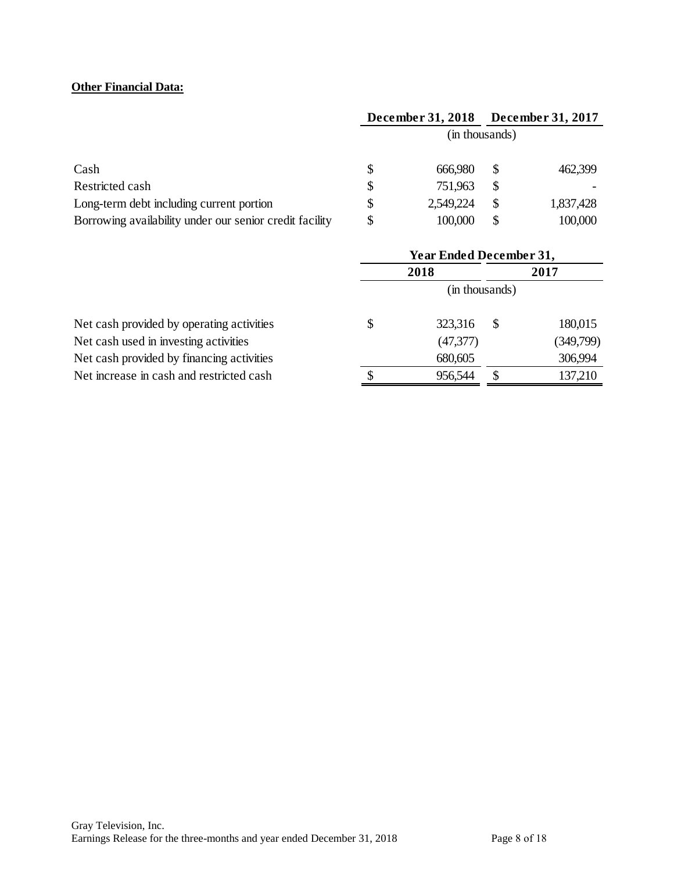# **Other Financial Data:**

|                                                         | December 31, 2018 |                | <b>December 31, 2017</b> |           |  |
|---------------------------------------------------------|-------------------|----------------|--------------------------|-----------|--|
|                                                         |                   | (in thousands) |                          |           |  |
| Cash                                                    | \$                | 666,980        | \$                       | 462,399   |  |
| Restricted cash                                         | \$                | 751,963        | \$                       |           |  |
| Long-term debt including current portion                | \$                | 2,549,224      | \$                       | 1,837,428 |  |
| Borrowing availability under our senior credit facility | \$                | 100,000        | \$                       | 100,000   |  |

|                                           | <b>Year Ended December 31,</b> |           |    |           |  |  |
|-------------------------------------------|--------------------------------|-----------|----|-----------|--|--|
|                                           |                                | 2018      |    | 2017      |  |  |
|                                           | (in thousands)                 |           |    |           |  |  |
| Net cash provided by operating activities | \$                             | 323,316   | S  | 180,015   |  |  |
| Net cash used in investing activities     |                                | (47, 377) |    | (349,799) |  |  |
| Net cash provided by financing activities |                                | 680,605   |    | 306,994   |  |  |
| Net increase in cash and restricted cash  | \$                             | 956,544   | \$ | 137,210   |  |  |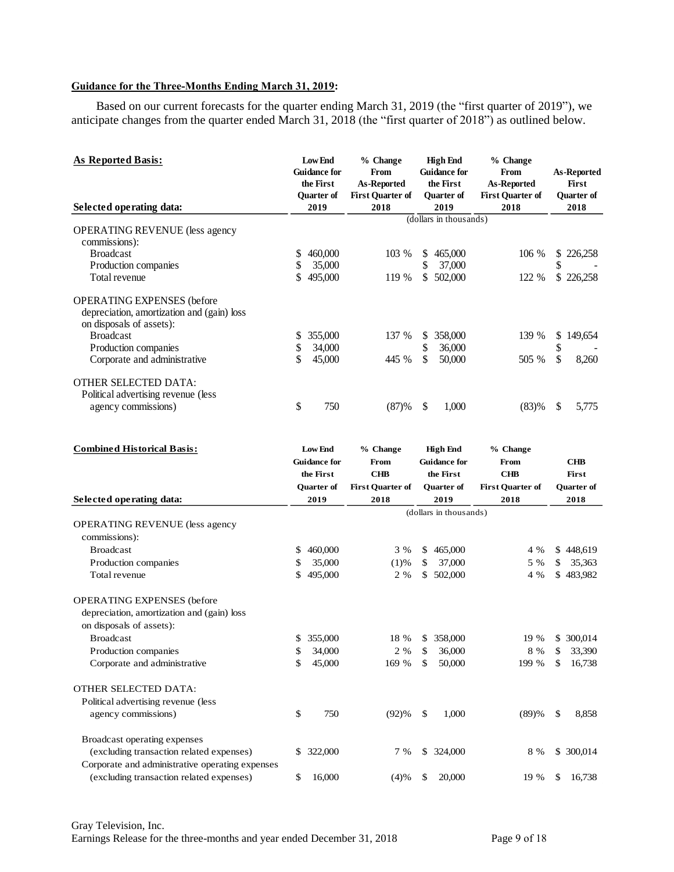# **Guidance for the Three-Months Ending March 31, 2019:**

Based on our current forecasts for the quarter ending March 31, 2019 (the "first quarter of 2019"), we anticipate changes from the quarter ended March 31, 2018 (the "first quarter of 2018") as outlined below.

| <b>As Reported Basis:</b><br>Selected operating data: |          | Low End<br><b>Guidance for</b><br>the First<br>Quarter of<br>2019 | % Change<br>From<br>As-Reported<br><b>First Quarter of</b><br>2018 |           | <b>High End</b><br><b>Guidance for</b><br>the First<br>Quarter of<br>2019 | % Change<br>From<br>As-Reported<br><b>First Quarter of</b><br>2018 |          | As-Reported<br>First<br><b>Ouarter</b> of<br>2018 |
|-------------------------------------------------------|----------|-------------------------------------------------------------------|--------------------------------------------------------------------|-----------|---------------------------------------------------------------------------|--------------------------------------------------------------------|----------|---------------------------------------------------|
|                                                       |          |                                                                   |                                                                    |           | (dollars in thousands)                                                    |                                                                    |          |                                                   |
| <b>OPERATING REVENUE</b> (less agency                 |          |                                                                   |                                                                    |           |                                                                           |                                                                    |          |                                                   |
| commissions):<br><b>Broadcast</b>                     |          | 460,000                                                           | 103 %                                                              |           | 465,000                                                                   | 106 %                                                              |          | 226,258                                           |
| Production companies                                  | \$<br>\$ | 35,000                                                            |                                                                    | \$<br>\$  | 37,000                                                                    |                                                                    | \$<br>\$ |                                                   |
| Total revenue                                         | \$       | 495,000                                                           | 119 %                                                              | \$        | 502,000                                                                   | 122 %                                                              |          | \$226,258                                         |
| <b>OPERATING EXPENSES</b> (before                     |          |                                                                   |                                                                    |           |                                                                           |                                                                    |          |                                                   |
| depreciation, amortization and (gain) loss            |          |                                                                   |                                                                    |           |                                                                           |                                                                    |          |                                                   |
| on disposals of assets):                              |          |                                                                   |                                                                    |           |                                                                           |                                                                    |          |                                                   |
| <b>Broadcast</b>                                      | \$       | 355,000                                                           | 137 %                                                              | \$        | 358,000                                                                   | 139 %                                                              | \$       | 149,654                                           |
| Production companies                                  | \$       | 34,000                                                            |                                                                    | \$        | 36,000                                                                    |                                                                    | \$       |                                                   |
| Corporate and administrative                          | \$       | 45,000                                                            | 445 %                                                              | \$        | 50,000                                                                    | 505 %                                                              | \$       | 8,260                                             |
| OTHER SELECTED DATA:                                  |          |                                                                   |                                                                    |           |                                                                           |                                                                    |          |                                                   |
| Political advertising revenue (less                   |          |                                                                   |                                                                    |           |                                                                           |                                                                    |          |                                                   |
| agency commissions)                                   | \$       | 750                                                               | (87)%                                                              | \$        | 1,000                                                                     | (83)%                                                              | \$       | 5,775                                             |
| <b>Combined Historical Basis:</b>                     |          | Low End                                                           | % Change                                                           |           | <b>High End</b>                                                           | % Change                                                           |          |                                                   |
|                                                       |          | <b>Guidance for</b>                                               | From                                                               |           | <b>Guidance for</b>                                                       | From                                                               |          | CHB                                               |
|                                                       |          | the First                                                         | <b>CHB</b>                                                         | the First |                                                                           | <b>CHB</b>                                                         |          | First                                             |
|                                                       |          | <b>Quarter of</b>                                                 | <b>First Quarter of</b>                                            |           | Quarter of                                                                | <b>First Quarter of</b>                                            |          | <b>Quarter of</b>                                 |
| Selected operating data:                              |          | 2019                                                              | 2018                                                               |           | 2019                                                                      | 2018                                                               |          | 2018                                              |
|                                                       |          |                                                                   | (dollars in thousands)                                             |           |                                                                           |                                                                    |          |                                                   |
| <b>OPERATING REVENUE</b> (less agency                 |          |                                                                   |                                                                    |           |                                                                           |                                                                    |          |                                                   |
| commissions):                                         |          |                                                                   |                                                                    |           |                                                                           |                                                                    |          |                                                   |
| <b>Broadcast</b>                                      | \$       | 460,000                                                           | 3 %                                                                | \$        | 465,000                                                                   | 4 %                                                                |          | \$448,619                                         |
| Production companies                                  | \$       | 35,000                                                            | (1)%                                                               | \$        | 37,000                                                                    | 5 %                                                                | \$       | 35,363                                            |
| Total revenue                                         | \$       | 495,000                                                           | 2 %                                                                | \$        | 502,000                                                                   | 4 %                                                                |          | \$483,982                                         |
| <b>OPERATING EXPENSES</b> (before                     |          |                                                                   |                                                                    |           |                                                                           |                                                                    |          |                                                   |
| depreciation, amortization and (gain) loss            |          |                                                                   |                                                                    |           |                                                                           |                                                                    |          |                                                   |
| on disposals of assets):                              |          |                                                                   |                                                                    |           |                                                                           |                                                                    |          |                                                   |
| <b>Broadcast</b>                                      |          | \$ 355,000                                                        | 18 %                                                               |           | \$ 358,000                                                                | 19 %                                                               |          | \$ 300,014                                        |
| Production companies                                  |          | 34,000                                                            | 2 %                                                                | \$        | 36,000                                                                    | 8 %                                                                |          | 33,390                                            |
| Corporate and administrative                          | \$<br>\$ | 45,000                                                            | 169 %                                                              | \$        | 50,000                                                                    | 199 %                                                              | \$<br>\$ | 16,738                                            |
|                                                       |          |                                                                   |                                                                    |           |                                                                           |                                                                    |          |                                                   |
| OTHER SELECTED DATA:                                  |          |                                                                   |                                                                    |           |                                                                           |                                                                    |          |                                                   |
| Political advertising revenue (less                   |          |                                                                   |                                                                    |           |                                                                           |                                                                    |          |                                                   |
| agency commissions)                                   | \$       | 750                                                               | (92)%                                                              | \$        | 1,000                                                                     | (89)%                                                              | \$       | 8,858                                             |
| Broadcast operating expenses                          |          |                                                                   |                                                                    |           |                                                                           |                                                                    |          |                                                   |
| (excluding transaction related expenses)              | \$       | 322,000                                                           | 7 %                                                                | \$        | 324,000                                                                   | 8 %                                                                |          | \$ 300,014                                        |
| Corporate and administrative operating expenses       |          |                                                                   |                                                                    |           |                                                                           |                                                                    |          |                                                   |
| (excluding transaction related expenses)              | \$       | 16,000                                                            | (4)%                                                               | \$        | 20,000                                                                    | 19 %                                                               | \$       | 16,738                                            |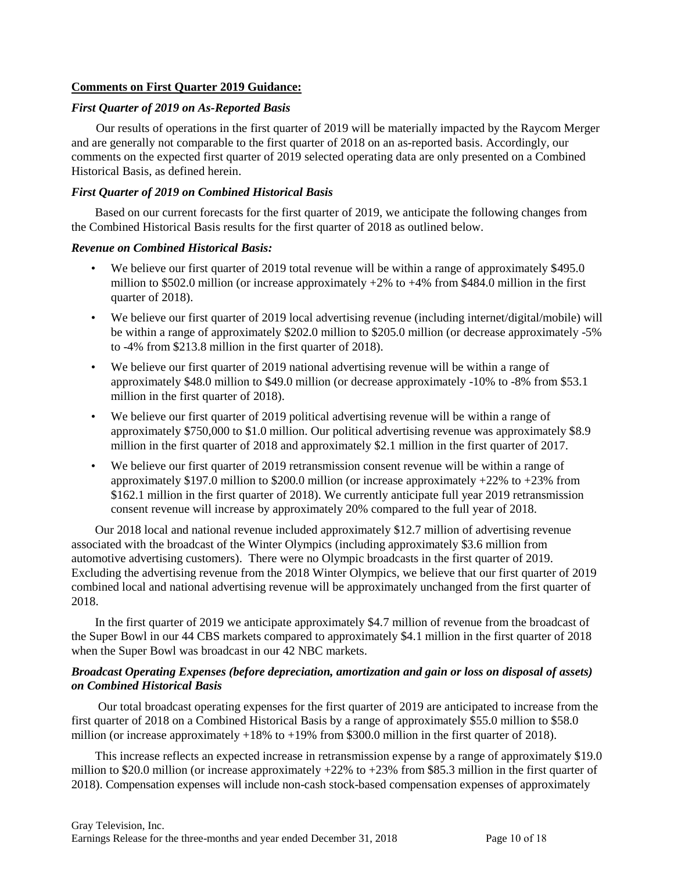### **Comments on First Quarter 2019 Guidance:**

#### *First Quarter of 2019 on As-Reported Basis*

Our results of operations in the first quarter of 2019 will be materially impacted by the Raycom Merger and are generally not comparable to the first quarter of 2018 on an as-reported basis. Accordingly, our comments on the expected first quarter of 2019 selected operating data are only presented on a Combined Historical Basis, as defined herein.

### *First Quarter of 2019 on Combined Historical Basis*

Based on our current forecasts for the first quarter of 2019, we anticipate the following changes from the Combined Historical Basis results for the first quarter of 2018 as outlined below.

### *Revenue on Combined Historical Basis:*

- We believe our first quarter of 2019 total revenue will be within a range of approximately \$495.0 million to \$502.0 million (or increase approximately  $+2\%$  to  $+4\%$  from \$484.0 million in the first quarter of 2018).
- We believe our first quarter of 2019 local advertising revenue (including internet/digital/mobile) will be within a range of approximately \$202.0 million to \$205.0 million (or decrease approximately -5% to -4% from \$213.8 million in the first quarter of 2018).
- We believe our first quarter of 2019 national advertising revenue will be within a range of approximately \$48.0 million to \$49.0 million (or decrease approximately -10% to -8% from \$53.1 million in the first quarter of 2018).
- We believe our first quarter of 2019 political advertising revenue will be within a range of approximately \$750,000 to \$1.0 million. Our political advertising revenue was approximately \$8.9 million in the first quarter of 2018 and approximately \$2.1 million in the first quarter of 2017.
- We believe our first quarter of 2019 retransmission consent revenue will be within a range of approximately  $$197.0$  million to  $$200.0$  million (or increase approximately  $+22\%$  to  $+23\%$  from \$162.1 million in the first quarter of 2018). We currently anticipate full year 2019 retransmission consent revenue will increase by approximately 20% compared to the full year of 2018.

Our 2018 local and national revenue included approximately \$12.7 million of advertising revenue associated with the broadcast of the Winter Olympics (including approximately \$3.6 million from automotive advertising customers). There were no Olympic broadcasts in the first quarter of 2019. Excluding the advertising revenue from the 2018 Winter Olympics, we believe that our first quarter of 2019 combined local and national advertising revenue will be approximately unchanged from the first quarter of 2018.

In the first quarter of 2019 we anticipate approximately \$4.7 million of revenue from the broadcast of the Super Bowl in our 44 CBS markets compared to approximately \$4.1 million in the first quarter of 2018 when the Super Bowl was broadcast in our 42 NBC markets.

### *Broadcast Operating Expenses (before depreciation, amortization and gain or loss on disposal of assets) on Combined Historical Basis*

Our total broadcast operating expenses for the first quarter of 2019 are anticipated to increase from the first quarter of 2018 on a Combined Historical Basis by a range of approximately \$55.0 million to \$58.0 million (or increase approximately  $+18\%$  to  $+19\%$  from \$300.0 million in the first quarter of 2018).

This increase reflects an expected increase in retransmission expense by a range of approximately \$19.0 million to \$20.0 million (or increase approximately +22% to +23% from \$85.3 million in the first quarter of 2018). Compensation expenses will include non-cash stock-based compensation expenses of approximately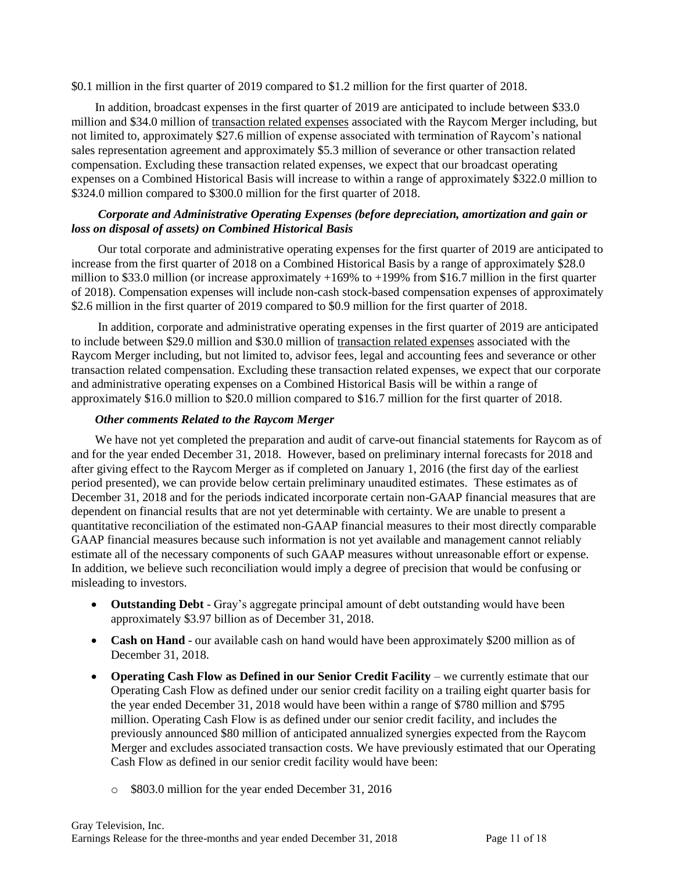\$0.1 million in the first quarter of 2019 compared to \$1.2 million for the first quarter of 2018.

In addition, broadcast expenses in the first quarter of 2019 are anticipated to include between \$33.0 million and \$34.0 million of transaction related expenses associated with the Raycom Merger including, but not limited to, approximately \$27.6 million of expense associated with termination of Raycom's national sales representation agreement and approximately \$5.3 million of severance or other transaction related compensation. Excluding these transaction related expenses, we expect that our broadcast operating expenses on a Combined Historical Basis will increase to within a range of approximately \$322.0 million to \$324.0 million compared to \$300.0 million for the first quarter of 2018.

### *Corporate and Administrative Operating Expenses (before depreciation, amortization and gain or loss on disposal of assets) on Combined Historical Basis*

Our total corporate and administrative operating expenses for the first quarter of 2019 are anticipated to increase from the first quarter of 2018 on a Combined Historical Basis by a range of approximately \$28.0 million to \$33.0 million (or increase approximately +169% to +199% from \$16.7 million in the first quarter of 2018). Compensation expenses will include non-cash stock-based compensation expenses of approximately \$2.6 million in the first quarter of 2019 compared to \$0.9 million for the first quarter of 2018.

In addition, corporate and administrative operating expenses in the first quarter of 2019 are anticipated to include between \$29.0 million and \$30.0 million of transaction related expenses associated with the Raycom Merger including, but not limited to, advisor fees, legal and accounting fees and severance or other transaction related compensation. Excluding these transaction related expenses, we expect that our corporate and administrative operating expenses on a Combined Historical Basis will be within a range of approximately \$16.0 million to \$20.0 million compared to \$16.7 million for the first quarter of 2018.

### *Other comments Related to the Raycom Merger*

We have not yet completed the preparation and audit of carve-out financial statements for Raycom as of and for the year ended December 31, 2018. However, based on preliminary internal forecasts for 2018 and after giving effect to the Raycom Merger as if completed on January 1, 2016 (the first day of the earliest period presented), we can provide below certain preliminary unaudited estimates. These estimates as of December 31, 2018 and for the periods indicated incorporate certain non-GAAP financial measures that are dependent on financial results that are not yet determinable with certainty. We are unable to present a quantitative reconciliation of the estimated non-GAAP financial measures to their most directly comparable GAAP financial measures because such information is not yet available and management cannot reliably estimate all of the necessary components of such GAAP measures without unreasonable effort or expense. In addition, we believe such reconciliation would imply a degree of precision that would be confusing or misleading to investors.

- **Outstanding Debt** Gray's aggregate principal amount of debt outstanding would have been approximately \$3.97 billion as of December 31, 2018.
- **Cash on Hand** our available cash on hand would have been approximately \$200 million as of December 31, 2018.
- **Operating Cash Flow as Defined in our Senior Credit Facility we currently estimate that our** Operating Cash Flow as defined under our senior credit facility on a trailing eight quarter basis for the year ended December 31, 2018 would have been within a range of \$780 million and \$795 million. Operating Cash Flow is as defined under our senior credit facility, and includes the previously announced \$80 million of anticipated annualized synergies expected from the Raycom Merger and excludes associated transaction costs. We have previously estimated that our Operating Cash Flow as defined in our senior credit facility would have been:
	- o \$803.0 million for the year ended December 31, 2016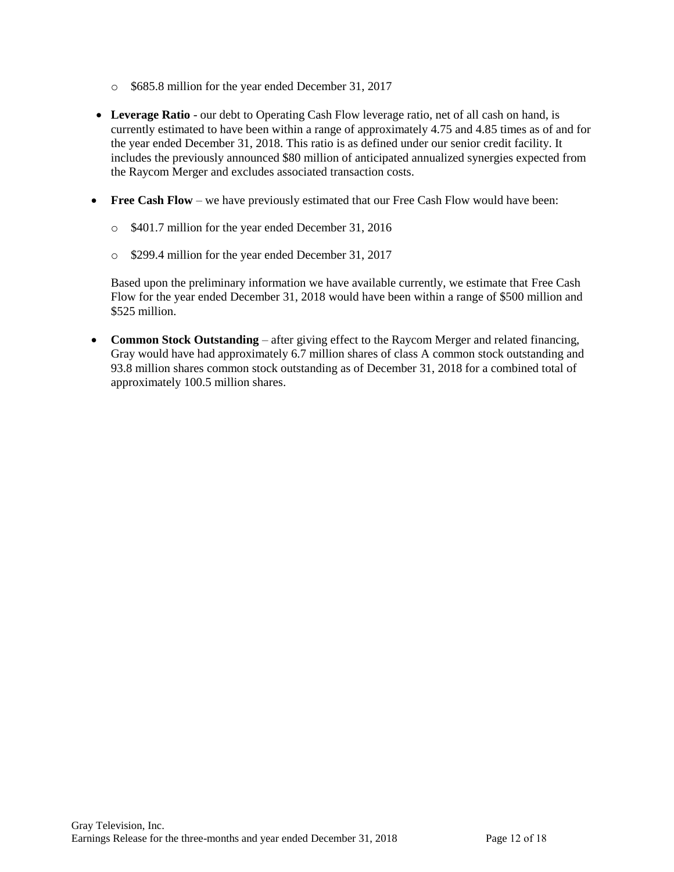- o \$685.8 million for the year ended December 31, 2017
- **Leverage Ratio** our debt to Operating Cash Flow leverage ratio, net of all cash on hand, is currently estimated to have been within a range of approximately 4.75 and 4.85 times as of and for the year ended December 31, 2018. This ratio is as defined under our senior credit facility. It includes the previously announced \$80 million of anticipated annualized synergies expected from the Raycom Merger and excludes associated transaction costs.
- **Free Cash Flow** we have previously estimated that our Free Cash Flow would have been:
	- o \$401.7 million for the year ended December 31, 2016
	- o \$299.4 million for the year ended December 31, 2017

Based upon the preliminary information we have available currently, we estimate that Free Cash Flow for the year ended December 31, 2018 would have been within a range of \$500 million and \$525 million.

 **Common Stock Outstanding** – after giving effect to the Raycom Merger and related financing, Gray would have had approximately 6.7 million shares of class A common stock outstanding and 93.8 million shares common stock outstanding as of December 31, 2018 for a combined total of approximately 100.5 million shares.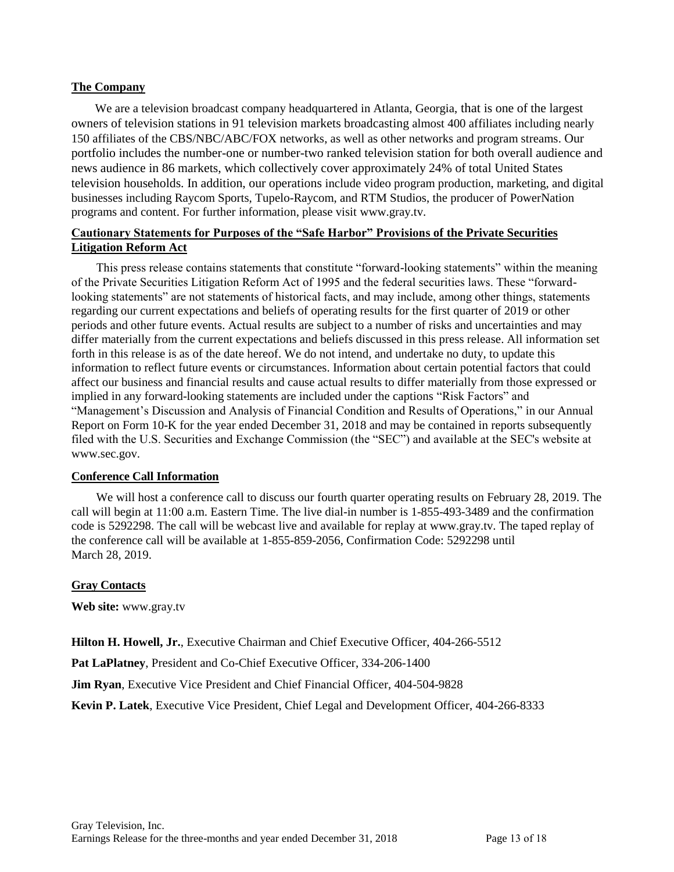### **The Company**

We are a television broadcast company headquartered in Atlanta, Georgia, that is one of the largest owners of television stations in 91 television markets broadcasting almost 400 affiliates including nearly 150 affiliates of the CBS/NBC/ABC/FOX networks, as well as other networks and program streams. Our portfolio includes the number-one or number-two ranked television station for both overall audience and news audience in 86 markets, which collectively cover approximately 24% of total United States television households. In addition, our operations include video program production, marketing, and digital businesses including Raycom Sports, Tupelo-Raycom, and RTM Studios, the producer of PowerNation programs and content. For further information, please visit www.gray.tv.

### **Cautionary Statements for Purposes of the "Safe Harbor" Provisions of the Private Securities Litigation Reform Act**

This press release contains statements that constitute "forward-looking statements" within the meaning of the Private Securities Litigation Reform Act of 1995 and the federal securities laws. These "forwardlooking statements" are not statements of historical facts, and may include, among other things, statements regarding our current expectations and beliefs of operating results for the first quarter of 2019 or other periods and other future events. Actual results are subject to a number of risks and uncertainties and may differ materially from the current expectations and beliefs discussed in this press release. All information set forth in this release is as of the date hereof. We do not intend, and undertake no duty, to update this information to reflect future events or circumstances. Information about certain potential factors that could affect our business and financial results and cause actual results to differ materially from those expressed or implied in any forward-looking statements are included under the captions "Risk Factors" and "Management's Discussion and Analysis of Financial Condition and Results of Operations," in our Annual Report on Form 10-K for the year ended December 31, 2018 and may be contained in reports subsequently filed with the U.S. Securities and Exchange Commission (the "SEC") and available at the SEC's website at www.sec.gov.

### **Conference Call Information**

We will host a conference call to discuss our fourth quarter operating results on February 28, 2019. The call will begin at 11:00 a.m. Eastern Time. The live dial-in number is 1-855-493-3489 and the confirmation code is 5292298. The call will be webcast live and available for replay at www.gray.tv. The taped replay of the conference call will be available at 1-855-859-2056, Confirmation Code: 5292298 until March 28, 2019.

### **Gray Contacts**

**Web site:** www.gray.tv

**Hilton H. Howell, Jr.**, Executive Chairman and Chief Executive Officer, 404-266-5512

**Pat LaPlatney**, President and Co-Chief Executive Officer, 334-206-1400

**Jim Ryan**, Executive Vice President and Chief Financial Officer, 404-504-9828

**Kevin P. Latek**, Executive Vice President, Chief Legal and Development Officer, 404-266-8333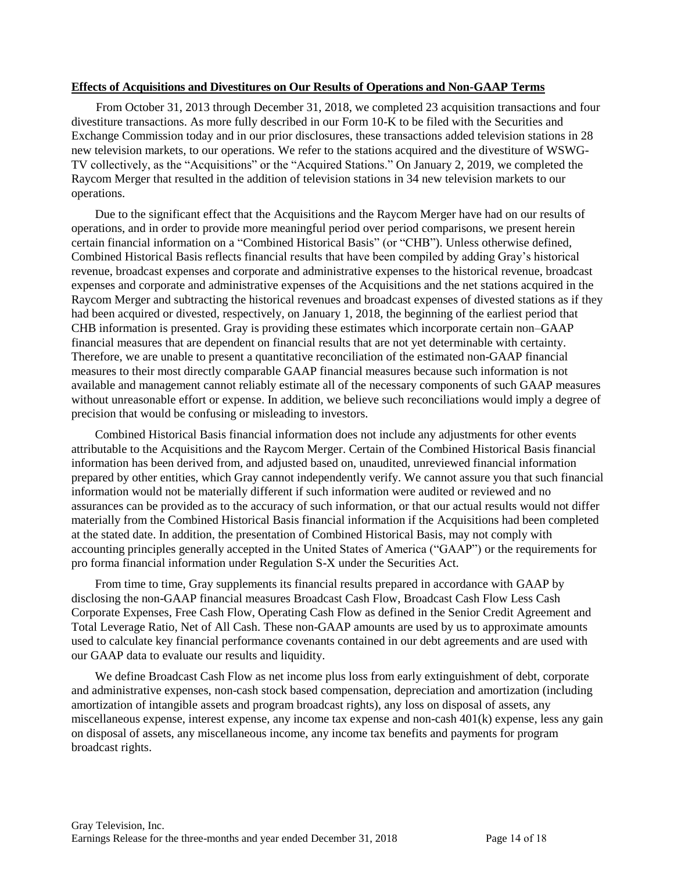#### **Effects of Acquisitions and Divestitures on Our Results of Operations and Non-GAAP Terms**

From October 31, 2013 through December 31, 2018, we completed 23 acquisition transactions and four divestiture transactions. As more fully described in our Form 10-K to be filed with the Securities and Exchange Commission today and in our prior disclosures, these transactions added television stations in 28 new television markets, to our operations. We refer to the stations acquired and the divestiture of WSWG-TV collectively, as the "Acquisitions" or the "Acquired Stations." On January 2, 2019, we completed the Raycom Merger that resulted in the addition of television stations in 34 new television markets to our operations.

Due to the significant effect that the Acquisitions and the Raycom Merger have had on our results of operations, and in order to provide more meaningful period over period comparisons, we present herein certain financial information on a "Combined Historical Basis" (or "CHB"). Unless otherwise defined, Combined Historical Basis reflects financial results that have been compiled by adding Gray's historical revenue, broadcast expenses and corporate and administrative expenses to the historical revenue, broadcast expenses and corporate and administrative expenses of the Acquisitions and the net stations acquired in the Raycom Merger and subtracting the historical revenues and broadcast expenses of divested stations as if they had been acquired or divested, respectively, on January 1, 2018, the beginning of the earliest period that CHB information is presented. Gray is providing these estimates which incorporate certain non–GAAP financial measures that are dependent on financial results that are not yet determinable with certainty. Therefore, we are unable to present a quantitative reconciliation of the estimated non-GAAP financial measures to their most directly comparable GAAP financial measures because such information is not available and management cannot reliably estimate all of the necessary components of such GAAP measures without unreasonable effort or expense. In addition, we believe such reconciliations would imply a degree of precision that would be confusing or misleading to investors.

Combined Historical Basis financial information does not include any adjustments for other events attributable to the Acquisitions and the Raycom Merger. Certain of the Combined Historical Basis financial information has been derived from, and adjusted based on, unaudited, unreviewed financial information prepared by other entities, which Gray cannot independently verify. We cannot assure you that such financial information would not be materially different if such information were audited or reviewed and no assurances can be provided as to the accuracy of such information, or that our actual results would not differ materially from the Combined Historical Basis financial information if the Acquisitions had been completed at the stated date. In addition, the presentation of Combined Historical Basis, may not comply with accounting principles generally accepted in the United States of America ("GAAP") or the requirements for pro forma financial information under Regulation S-X under the Securities Act.

From time to time, Gray supplements its financial results prepared in accordance with GAAP by disclosing the non-GAAP financial measures Broadcast Cash Flow, Broadcast Cash Flow Less Cash Corporate Expenses, Free Cash Flow, Operating Cash Flow as defined in the Senior Credit Agreement and Total Leverage Ratio, Net of All Cash. These non-GAAP amounts are used by us to approximate amounts used to calculate key financial performance covenants contained in our debt agreements and are used with our GAAP data to evaluate our results and liquidity.

We define Broadcast Cash Flow as net income plus loss from early extinguishment of debt, corporate and administrative expenses, non-cash stock based compensation, depreciation and amortization (including amortization of intangible assets and program broadcast rights), any loss on disposal of assets, any miscellaneous expense, interest expense, any income tax expense and non-cash 401(k) expense, less any gain on disposal of assets, any miscellaneous income, any income tax benefits and payments for program broadcast rights.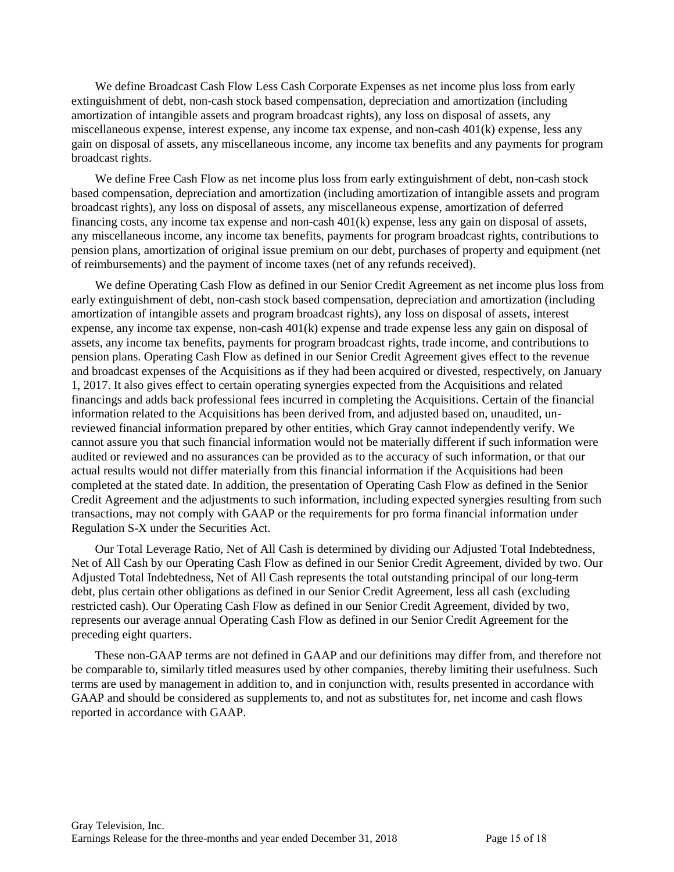We define Broadcast Cash Flow Less Cash Corporate Expenses as net income plus loss from early extinguishment of debt, non-cash stock based compensation, depreciation and amortization (including amortization of intangible assets and program broadcast rights), any loss on disposal of assets, any miscellaneous expense, interest expense, any income tax expense, and non-cash 401(k) expense, less any gain on disposal of assets, any miscellaneous income, any income tax benefits and any payments for program broadcast rights.

We define Free Cash Flow as net income plus loss from early extinguishment of debt, non-cash stock based compensation, depreciation and amortization (including amortization of intangible assets and program broadcast rights), any loss on disposal of assets, any miscellaneous expense, amortization of deferred financing costs, any income tax expense and non-cash 401(k) expense, less any gain on disposal of assets, any miscellaneous income, any income tax benefits, payments for program broadcast rights, contributions to pension plans, amortization of original issue premium on our debt, purchases of property and equipment (net of reimbursements) and the payment of income taxes (net of any refunds received).

We define Operating Cash Flow as defined in our Senior Credit Agreement as net income plus loss from early extinguishment of debt, non-cash stock based compensation, depreciation and amortization (including amortization of intangible assets and program broadcast rights), any loss on disposal of assets, interest expense, any income tax expense, non-cash 401(k) expense and trade expense less any gain on disposal of assets, any income tax benefits, payments for program broadcast rights, trade income, and contributions to pension plans. Operating Cash Flow as defined in our Senior Credit Agreement gives effect to the revenue and broadcast expenses of the Acquisitions as if they had been acquired or divested, respectively, on January 1, 2017. It also gives effect to certain operating synergies expected from the Acquisitions and related financings and adds back professional fees incurred in completing the Acquisitions. Certain of the financial information related to the Acquisitions has been derived from, and adjusted based on, unaudited, unreviewed financial information prepared by other entities, which Gray cannot independently verify. We cannot assure you that such financial information would not be materially different if such information were audited or reviewed and no assurances can be provided as to the accuracy of such information, or that our actual results would not differ materially from this financial information if the Acquisitions had been completed at the stated date. In addition, the presentation of Operating Cash Flow as defined in the Senior Credit Agreement and the adjustments to such information, including expected synergies resulting from such transactions, may not comply with GAAP or the requirements for pro forma financial information under Regulation S-X under the Securities Act.

Our Total Leverage Ratio, Net of All Cash is determined by dividing our Adjusted Total Indebtedness, Net of All Cash by our Operating Cash Flow as defined in our Senior Credit Agreement, divided by two. Our Adjusted Total Indebtedness, Net of All Cash represents the total outstanding principal of our long-term debt, plus certain other obligations as defined in our Senior Credit Agreement, less all cash (excluding restricted cash). Our Operating Cash Flow as defined in our Senior Credit Agreement, divided by two, represents our average annual Operating Cash Flow as defined in our Senior Credit Agreement for the preceding eight quarters.

These non-GAAP terms are not defined in GAAP and our definitions may differ from, and therefore not be comparable to, similarly titled measures used by other companies, thereby limiting their usefulness. Such terms are used by management in addition to, and in conjunction with, results presented in accordance with GAAP and should be considered as supplements to, and not as substitutes for, net income and cash flows reported in accordance with GAAP.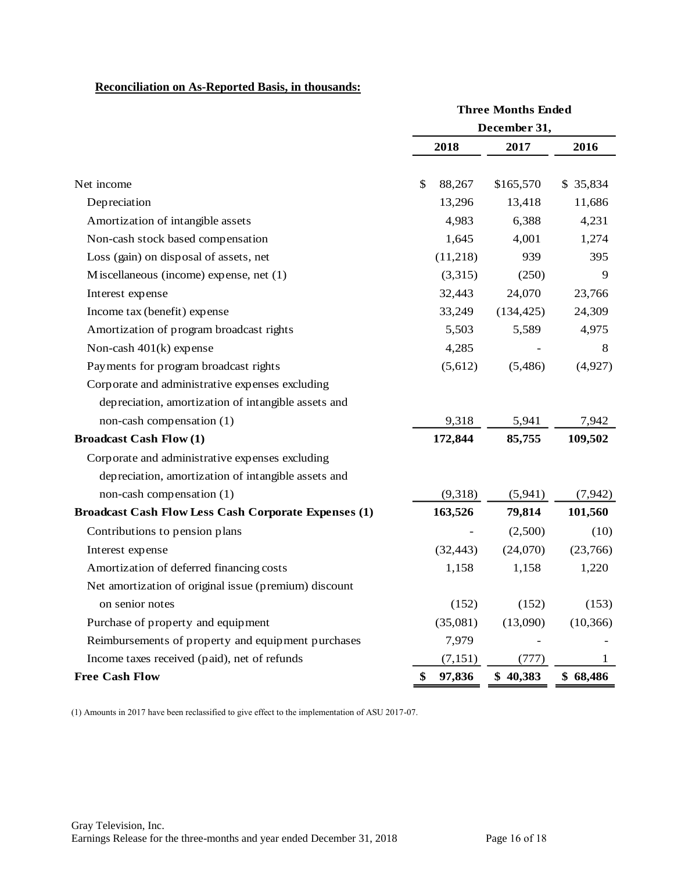# **Reconciliation on As-Reported Basis, in thousands:**

|                                                             | <b>Three Months Ended</b> |              |              |  |  |
|-------------------------------------------------------------|---------------------------|--------------|--------------|--|--|
|                                                             |                           | December 31, |              |  |  |
|                                                             | 2018                      | 2017         | 2016         |  |  |
|                                                             |                           |              |              |  |  |
| Net income                                                  | \$<br>88,267              | \$165,570    | \$35,834     |  |  |
| Depreciation                                                | 13,296                    | 13,418       | 11,686       |  |  |
| Amortization of intangible assets                           | 4,983                     | 6,388        | 4,231        |  |  |
| Non-cash stock based compensation                           | 1,645                     | 4,001        | 1,274        |  |  |
| Loss (gain) on disposal of assets, net                      | (11,218)                  | 939          | 395          |  |  |
| M iscellaneous (income) expense, net $(1)$                  | (3,315)                   | (250)        | 9            |  |  |
| Interest expense                                            | 32,443                    | 24,070       | 23,766       |  |  |
| Income tax (benefit) expense                                | 33,249                    | (134, 425)   | 24,309       |  |  |
| Amortization of program broadcast rights                    | 5,503                     | 5,589        | 4,975        |  |  |
| Non-cash $401(k)$ expense                                   | 4,285                     |              | 8            |  |  |
| Payments for program broadcast rights                       | (5,612)                   | (5,486)      | (4,927)      |  |  |
| Corporate and administrative expenses excluding             |                           |              |              |  |  |
| depreciation, amortization of intangible assets and         |                           |              |              |  |  |
| non-cash compensation (1)                                   | 9,318                     | 5,941        | 7,942        |  |  |
| <b>Broadcast Cash Flow (1)</b>                              | 172,844                   | 85,755       | 109,502      |  |  |
| Corporate and administrative expenses excluding             |                           |              |              |  |  |
| depreciation, amortization of intangible assets and         |                           |              |              |  |  |
| non-cash compensation (1)                                   | (9,318)                   | (5,941)      | (7, 942)     |  |  |
| <b>Broadcast Cash Flow Less Cash Corporate Expenses (1)</b> | 163,526                   | 79,814       | 101,560      |  |  |
| Contributions to pension plans                              |                           | (2,500)      | (10)         |  |  |
| Interest expense                                            | (32, 443)                 | (24,070)     | (23,766)     |  |  |
| Amortization of deferred financing costs                    | 1,158                     | 1,158        | 1,220        |  |  |
| Net amortization of original issue (premium) discount       |                           |              |              |  |  |
| on senior notes                                             | (152)                     | (152)        | (153)        |  |  |
| Purchase of property and equipment                          | (35,081)                  | (13,090)     | (10, 366)    |  |  |
| Reimbursements of property and equipment purchases          | 7,979                     |              |              |  |  |
| Income taxes received (paid), net of refunds                | (7, 151)                  | (777)        | $\mathbf{I}$ |  |  |
| <b>Free Cash Flow</b>                                       | 97,836<br>\$              | \$40,383     | \$68,486     |  |  |

(1) Amounts in 2017 have been reclassified to give effect to the implementation of ASU 2017-07.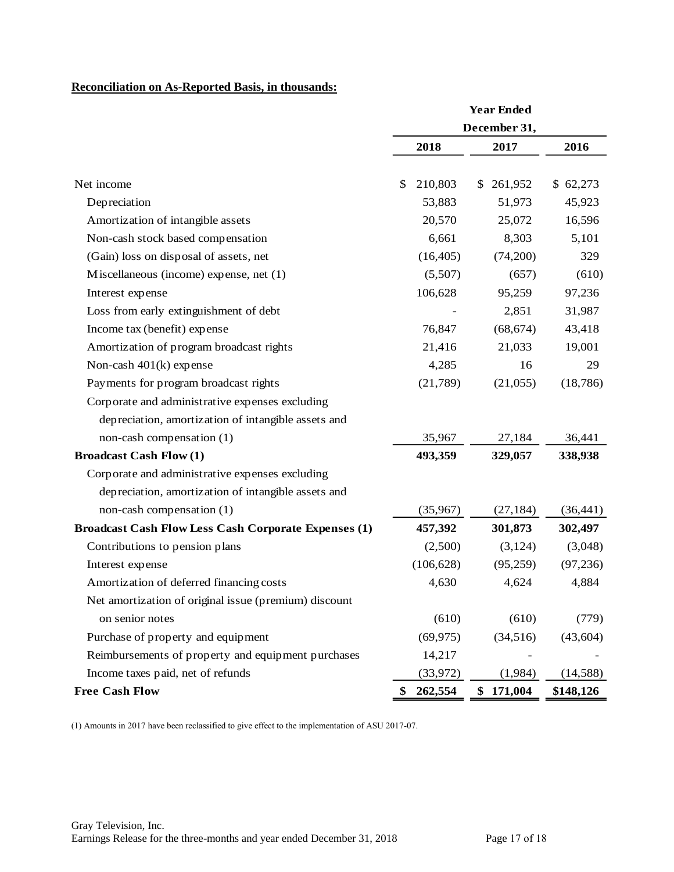# **Reconciliation on As-Reported Basis, in thousands:**

|                                                             | <b>Year Ended</b> |               |           |  |
|-------------------------------------------------------------|-------------------|---------------|-----------|--|
|                                                             |                   | December 31,  |           |  |
|                                                             | 2018              | 2017          | 2016      |  |
| Net income                                                  | \$<br>210,803     | \$261,952     | \$62,273  |  |
| Depreciation                                                | 53,883            | 51,973        | 45,923    |  |
| Amortization of intangible assets                           | 20,570            | 25,072        | 16,596    |  |
| Non-cash stock based compensation                           | 6,661             | 8,303         | 5,101     |  |
| (Gain) loss on disposal of assets, net                      | (16, 405)         | (74,200)      | 329       |  |
| Miscellaneous (income) expense, net (1)                     | (5,507)           | (657)         | (610)     |  |
| Interest expense                                            | 106,628           | 95,259        | 97,236    |  |
| Loss from early extinguishment of debt                      |                   | 2,851         | 31,987    |  |
| Income tax (benefit) expense                                | 76,847            | (68, 674)     | 43,418    |  |
| Amortization of program broadcast rights                    | 21,416            | 21,033        | 19,001    |  |
| Non-cash $401(k)$ expense                                   | 4,285             | 16            | 29        |  |
| Payments for program broadcast rights                       | (21,789)          | (21,055)      | (18, 786) |  |
| Corporate and administrative expenses excluding             |                   |               |           |  |
| depreciation, amortization of intangible assets and         |                   |               |           |  |
| non-cash compensation (1)                                   | 35,967            | 27,184        | 36,441    |  |
| <b>Broadcast Cash Flow (1)</b>                              | 493,359           | 329,057       | 338,938   |  |
| Corporate and administrative expenses excluding             |                   |               |           |  |
| depreciation, amortization of intangible assets and         |                   |               |           |  |
| non-cash compensation (1)                                   | (35,967)          | (27, 184)     | (36, 441) |  |
| <b>Broadcast Cash Flow Less Cash Corporate Expenses (1)</b> | 457,392           | 301,873       | 302,497   |  |
| Contributions to pension plans                              | (2,500)           | (3,124)       | (3,048)   |  |
| Interest expense                                            | (106, 628)        | (95,259)      | (97, 236) |  |
| Amortization of deferred financing costs                    | 4,630             | 4,624         | 4,884     |  |
| Net amortization of original issue (premium) discount       |                   |               |           |  |
| on senior notes                                             | (610)             | (610)         | (779)     |  |
| Purchase of property and equipment                          | (69, 975)         | (34,516)      | (43,604)  |  |
| Reimbursements of property and equipment purchases          | 14,217            |               |           |  |
| Income taxes paid, net of refunds                           | (33,972)          | (1,984)       | (14,588)  |  |
| <b>Free Cash Flow</b>                                       | 262,554<br>\$     | 171,004<br>\$ | \$148,126 |  |

(1) Amounts in 2017 have been reclassified to give effect to the implementation of ASU 2017-07.